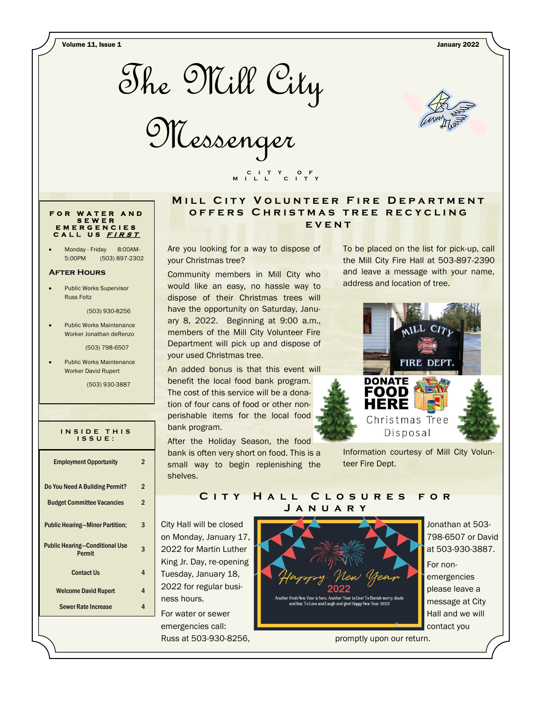Volume 11, Issue 1 January 2022



Messenger



### **F O R W A T E R A N D S E W E R E M E R G E N C I E S C A L L U S <sup>F</sup> <sup>I</sup> <sup>R</sup> <sup>S</sup> <sup>T</sup>**

Monday - Friday 8:00AM-5:00PM (503) 897-2302

#### **After Hours**

Public Works Supervisor Russ Foltz

(503) 930-8256

Public Works Maintenance Worker Jonathan deRenzo

(503) 798-6507

Public Works Maintenance Worker David Rupert

**I N S I D E T H I S** 

(503) 930-3887

| N J I D E I H I J<br>ISSUE:                     |   |
|-------------------------------------------------|---|
| <b>Employment Opportunity</b>                   | 2 |
| Do You Need A Building Permit?                  | 2 |
| <b>Budget Committee Vacancies</b>               | 2 |
| <b>Public Hearing-Minor Partition;</b>          | 3 |
| <b>Public Hearing-Conditional Use</b><br>Permit | 3 |
| <b>Contact Us</b>                               | 4 |
| <b>Welcome David Rupert</b>                     | 4 |
| <b>Sewer Rate Increase</b>                      | 4 |

## **MILL CITY VOLUNTEER FIRE DEPARTMENT OFFERS CHRISTMAS TREE RECYCLING e v e n t**

Are you looking for a way to dispose of your Christmas tree?

 **C I T Y O F M I L L C I T Y**

Community members in Mill City who would like an easy, no hassle way to dispose of their Christmas trees will have the opportunity on Saturday, January 8, 2022. Beginning at 9:00 a.m., members of the Mill City Volunteer Fire Department will pick up and dispose of your used Christmas tree.

An added bonus is that this event will benefit the local food bank program. The cost of this service will be a donation of four cans of food or other nonperishable items for the local food bank program.

After the Holiday Season, the food bank is often very short on food. This is a small way to begin replenishing the shelves.

To be placed on the list for pick-up, call the Mill City Fire Hall at 503-897-2390 and leave a message with your name, address and location of tree.



Information courtesy of Mill City Volunteer Fire Dept.

## C I T Y H A L L C L O S U R E S F O R **J a n u a r y**

City Hall will be closed on Monday, January 17, 2022 for Martin Luther King Jr. Day, re-opening Tuesday, January 18, 2022 for regular business hours.

For water or sewer emergencies call: Russ at 503-930-8256,



Jonathan at 503- 798-6507 or David at 503-930-3887.

For nonemergencies please leave a message at City Hall and we will contact you

promptly upon our return.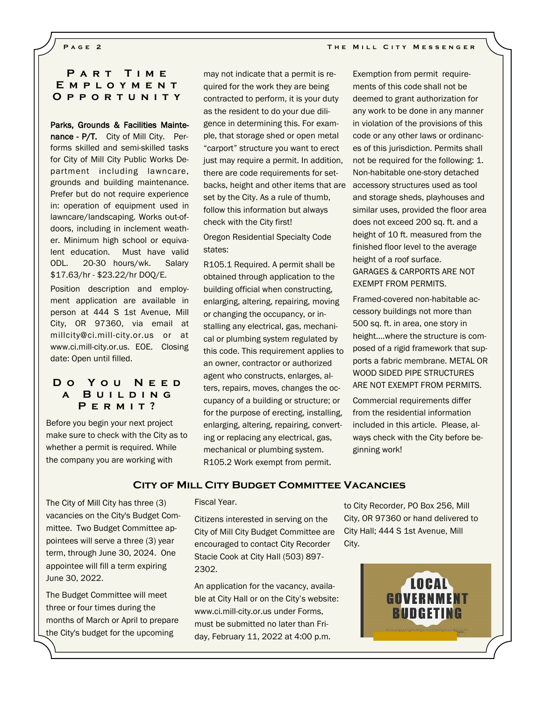## PART TIME **E m p l o y m e n t O p p o r t u n i t y**

### Parks, Grounds & Facilities Mainte-

nance - P/T. City of Mill City. Performs skilled and semi-skilled tasks for City of Mill City Public Works Department including lawncare, grounds and building maintenance. Prefer but do not require experience in: operation of equipment used in lawncare/landscaping. Works out-ofdoors, including in inclement weather. Minimum high school or equivalent education. Must have valid ODL. 20-30 hours/wk. Salary \$17.63/hr - \$23.22/hr DOQ/E.

Position description and employment application are available in person at 444 S 1st Avenue, Mill City, OR 97360, via email at millcity@ci.mill-city.or.us or at www.ci.mill-city.or.us. EOE. Closing date: Open until filled.

## **D o Y o u N e e d a B u i l d i n g P e r m i t ?**

Before you begin your next project make sure to check with the City as to whether a permit is required. While the company you are working with

may not indicate that a permit is required for the work they are being contracted to perform, it is your duty as the resident to do your due diligence in determining this. For example, that storage shed or open metal "carport" structure you want to erect just may require a permit. In addition, there are code requirements for setbacks, height and other items that are set by the City. As a rule of thumb, follow this information but always check with the City first!

Oregon Residential Specialty Code states:

R105.1 Required. A permit shall be obtained through application to the building official when constructing, enlarging, altering, repairing, moving or changing the occupancy, or installing any electrical, gas, mechanical or plumbing system regulated by this code. This requirement applies to an owner, contractor or authorized agent who constructs, enlarges, alters, repairs, moves, changes the occupancy of a building or structure; or for the purpose of erecting, installing, enlarging, altering, repairing, converting or replacing any electrical, gas, mechanical or plumbing system. R105.2 Work exempt from permit.

Exemption from permit requirements of this code shall not be deemed to grant authorization for any work to be done in any manner in violation of the provisions of this code or any other laws or ordinances of this jurisdiction. Permits shall not be required for the following: 1. Non-habitable one-story detached accessory structures used as tool and storage sheds, playhouses and similar uses, provided the floor area does not exceed 200 sq. ft. and a height of 10 ft. measured from the finished floor level to the average height of a roof surface. GARAGES & CARPORTS ARE NOT EXEMPT FROM PERMITS.

Framed-covered non-habitable accessory buildings not more than 500 sq. ft. in area, one story in height….where the structure is composed of a rigid framework that supports a fabric membrane. METAL OR WOOD SIDED PIPE STRUCTURES ARE NOT EXEMPT FROM PERMITS.

Commercial requirements differ from the residential information included in this article. Please, always check with the City before beginning work!

### **City of Mill City Budget Committee Vacancies**

The City of Mill City has three (3) vacancies on the City's Budget Committee. Two Budget Committee appointees will serve a three (3) year term, through June 30, 2024. One appointee will fill a term expiring June 30, 2022.

The Budget Committee will meet three or four times during the months of March or April to prepare the City's budget for the upcoming

#### Fiscal Year.

Citizens interested in serving on the City of Mill City Budget Committee are encouraged to contact City Recorder Stacie Cook at City Hall (503) 897- 2302.

An application for the vacancy, available at City Hall or on the City's website: www.ci.mill-city.or.us under Forms, must be submitted no later than Friday, February 11, 2022 at 4:00 p.m.

to City Recorder, PO Box 256, Mill City, OR 97360 or hand delivered to City Hall; 444 S 1st Avenue, Mill City.

> LOCAL **GOVERNMENT BUDGETING**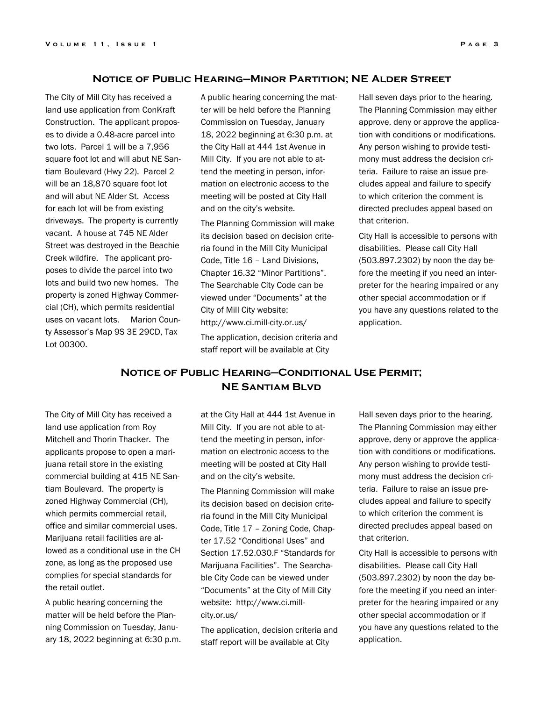### **Notice of Public Hearing—Minor Partition; NE Alder Street**

The City of Mill City has received a land use application from ConKraft Construction. The applicant proposes to divide a 0.48-acre parcel into two lots. Parcel 1 will be a 7,956 square foot lot and will abut NE Santiam Boulevard (Hwy 22). Parcel 2 will be an 18,870 square foot lot and will abut NE Alder St. Access for each lot will be from existing driveways. The property is currently vacant. A house at 745 NE Alder Street was destroyed in the Beachie Creek wildfire. The applicant proposes to divide the parcel into two lots and build two new homes. The property is zoned Highway Commercial (CH), which permits residential uses on vacant lots. Marion County Assessor's Map 9S 3E 29CD, Tax Lot 00300.

A public hearing concerning the matter will be held before the Planning Commission on Tuesday, January 18, 2022 beginning at 6:30 p.m. at the City Hall at 444 1st Avenue in Mill City. If you are not able to attend the meeting in person, information on electronic access to the meeting will be posted at City Hall and on the city's website.

The Planning Commission will make its decision based on decision criteria found in the Mill City Municipal Code, Title 16 – Land Divisions, Chapter 16.32 "Minor Partitions". The Searchable City Code can be viewed under "Documents" at the City of Mill City website: http://www.ci.mill-city.or.us/

The application, decision criteria and staff report will be available at City

Hall seven days prior to the hearing. The Planning Commission may either approve, deny or approve the application with conditions or modifications. Any person wishing to provide testimony must address the decision criteria. Failure to raise an issue precludes appeal and failure to specify to which criterion the comment is directed precludes appeal based on that criterion.

City Hall is accessible to persons with disabilities. Please call City Hall (503.897.2302) by noon the day before the meeting if you need an interpreter for the hearing impaired or any other special accommodation or if you have any questions related to the application.

# **Notice of Public Hearing—Conditional Use Permit; NE Santiam Blvd**

The City of Mill City has received a land use application from Roy Mitchell and Thorin Thacker. The applicants propose to open a marijuana retail store in the existing commercial building at 415 NE Santiam Boulevard. The property is zoned Highway Commercial (CH), which permits commercial retail, office and similar commercial uses. Marijuana retail facilities are allowed as a conditional use in the CH zone, as long as the proposed use complies for special standards for the retail outlet.

A public hearing concerning the matter will be held before the Planning Commission on Tuesday, January 18, 2022 beginning at 6:30 p.m. at the City Hall at 444 1st Avenue in Mill City. If you are not able to attend the meeting in person, information on electronic access to the meeting will be posted at City Hall and on the city's website.

The Planning Commission will make its decision based on decision criteria found in the Mill City Municipal Code, Title 17 – Zoning Code, Chapter 17.52 "Conditional Uses" and Section 17.52.030.F "Standards for Marijuana Facilities". The Searchable City Code can be viewed under "Documents" at the City of Mill City website: http://www.ci.millcity.or.us/

The application, decision criteria and staff report will be available at City

Hall seven days prior to the hearing. The Planning Commission may either approve, deny or approve the application with conditions or modifications. Any person wishing to provide testimony must address the decision criteria. Failure to raise an issue precludes appeal and failure to specify to which criterion the comment is directed precludes appeal based on that criterion.

City Hall is accessible to persons with disabilities. Please call City Hall (503.897.2302) by noon the day before the meeting if you need an interpreter for the hearing impaired or any other special accommodation or if you have any questions related to the application.